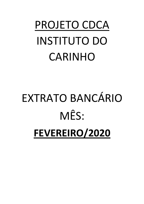## PROJETO CDCA INSTITUTO DO CARINHO

# EXTRATO BANCÁRIO MÊS: **FEVEREIRO/2020**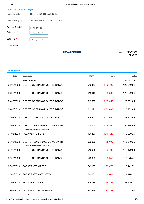| Dados da Conta de Origem |  |
|--------------------------|--|

| $-20000$ au $-201100$ av $-1190111$ |                                |                                          |
|-------------------------------------|--------------------------------|------------------------------------------|
| Nome do Titular                     | <b>INSTITUTO DO CARINHO</b>    |                                          |
| Conta de Origem                     | 164.008.396-8 - Conta Corrente |                                          |
| Tipos de Extrato *                  | Por período                    |                                          |
| Data Inicial *                      | 01/02/2020                     |                                          |
| Data Final *                        | 29/02/2020                     |                                          |
| <b>CONSULTAR</b>                    |                                |                                          |
|                                     | <b>DETALHAMENTO</b>            | 21/07/2020<br>Data:<br>12:29:11<br>Hora: |

### **Lançamentos**

| Data       | Descrição                                                         | <b>DOC</b> | Valor        | Saldo          |
|------------|-------------------------------------------------------------------|------------|--------------|----------------|
|            | <b>Saldo Anterior</b>                                             |            |              | 129.971,70 +   |
| 03/02/2020 | DEBITO COBRANCA OUTRO BANCO                                       | 619347     | $1.661,06 -$ | 128.310,64 +   |
| 03/02/2020 | DEBITO COBRANCA OUTRO BANCO                                       | 619419     | $288,00 -$   | 128.022,64 +   |
| 03/02/2020 | DEBITO COBRANCA OUTRO BANCO                                       | 619537     | $1.130,59 -$ | 126.892,05 +   |
| 03/02/2020 | DEBITO COBRANCA OUTRO BANCO                                       | 619621     | $1.690,00 -$ | 125.202,05 +   |
| 03/02/2020 | DEBITO COBRANCA OUTRO BANCO                                       | 619662     | $3.479,50 -$ | 121.722,55 +   |
| 05/02/2020 | DEBITO TED STR0008 CC MESM TIT<br>BRASIL MUSICAL INSTR 0000000644 | 000000     | $1.167,00 -$ | 120.555,55 +   |
| 05/02/2020 | <b>PAGAMENTO FGTS</b>                                             | 104200     | $1.465,29$ - | 119.090,26 +   |
| 05/02/2020 | DEBITO TED STR0008 CC MESM TIT<br>VELOX MOVEIS PARA ES 0000002230 | 000000     | $580,00 -$   | 118.510,26 +   |
| 07/02/2020 | DEBITO COBRANCA OUTRO BANCO                                       | 549005     | $37,36 -$    | 118.472,90 +   |
| 07/02/2020 | DEBITO COBRANCA OUTRO BANCO                                       | 549069     | $5.099,49$ . | 113.373,41 +   |
| 07/02/2020 | PAGAMENTO CAESB                                                   | 549135     | $930,70 -$   | $112.442,71 +$ |
| 07/02/2020 | PAGAMENTO GVT - VIVO                                              | 549162     | $168,49 -$   | 112.274,22 +   |
| 07/02/2020 | PAGAMENTO CEB                                                     | 549184     | $644,91 -$   | 111.629,31 +   |
| 10/02/2020 | PAGAMENTO DARF PRETO<br>0160                                      | 113926     | 636,28 -     | 110.993,03 +   |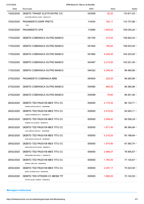| Data                          | Descrição                                                         | BRB Banknet   Banco de Brasília<br><b>DOC</b> | Valor              | Saldo         |
|-------------------------------|-------------------------------------------------------------------|-----------------------------------------------|--------------------|---------------|
| 10/02/2020                    | DEBITO TRANSF ELETR ENTRE C/C<br>SOCORRO MEDICO HOSPI 0580351319  | 523058                                        | $82,00 -$          | 110.911,03 +  |
| 10/02/2020                    | PAGAMENTO DARF PRETO<br>0160                                      | 114035                                        | $183,17 -$         | 110.727,86 +  |
| 10/02/2020                    | PAGAMENTO GPS                                                     | 114069                                        | $1.693,62 -$       | 109.034,24 +  |
| 17/02/2020                    | DEBITO COBRANCA OUTRO BANCO                                       | 041745                                        | $210,00 -$         | 108.824,24 +  |
| 17/02/2020                    | DEBITO COBRANCA OUTRO BANCO                                       | 041820                                        | $190,84 -$         | 108.633,40 +  |
| 17/02/2020                    | DEBITO COBRANCA OUTRO BANCO                                       | 041862                                        | $4.400,00 -$       | 104.233,40 +  |
| 17/02/2020                    | DEBITO COBRANCA OUTRO BANCO                                       | 043497                                        | $2.212,00 -$       | 102.021,40 +  |
| 17/02/2020                    | DEBITO COBRANCA OUTRO BANCO                                       | 044332                                        | $2.540,44$ -       | 99.480,96 +   |
| 27/02/2020                    | PAGAMENTO COBRANCA BRB                                            | 054004                                        | $220,00 -$         | 99.260,96 +   |
| 27/02/2020                    | DEBITO COBRANCA OUTRO BANCO                                       | 054080                                        | 880,00 -           | 98.380,96 +   |
| 27/02/2020                    | DEBITO COBRANCA OUTRO BANCO                                       | 054099                                        | $79,90 -$          | 98.301,06 +   |
| 28/02/2020                    | DEBITO TED PAG0108 MES TITU CC<br>DORIKA SANTOS MATUTI 0000000884 | 000000                                        | $2.175,35 -$       | $96.125,71 +$ |
| 28/02/2020                    | DEBITO TED PAG0108 MES TITU CC<br>LUDMILA BARBOSA DA C 0000000216 | 000000                                        | $3.470,00 -$       | 92.655,71 +   |
| 28/02/2020                    | DEBITO TED PAG0108 MES TITU CC<br>GABRIEL DE OLIVEIRA 0000000193  | 000000                                        | $2.599,42 -$       | 90.056,29 +   |
| 28/02/2020                    | DEBITO TED PAG0108 MES TITU CC<br>LAIS CAMPOS DANTAS F 0000000464 | 000000                                        | $1.671,45 -$       | 88.384,84 +   |
| 28/02/2020                    | DEBITO TED PAG0108 MES TITU CC<br>DENILSON DE SOUSA ME 0000000097 | 000000                                        | $5.216,20 -$       | 83.168,64 +   |
| 28/02/2020                    | DEBITO TED PAG0108 MES TITU CC<br>GEAN CARLOS DE SOUSA 0000000214 | 000000                                        | $1.574,90$ $\cdot$ | $81.593,74+$  |
| 28/02/2020                    | DEBITO TED PAG0108 MES TITU CC<br>NARAYANNE MACHADO FI 0000000129 | 000000                                        | $2.688,07 -$       | 78.905,67 +   |
| 28/02/2020                    | DEBITO TED PAG0108 MES TITU CC<br>DAYANE LIMA DIAS 0000004265     | 000000                                        | $1.785,00 -$       | 77.120,67 +   |
| 28/02/2020                    | DEBITO TED PAG0108 MES TITU CC<br>NESIO OLIVEIRA SILVA 0000000384 | 000000                                        | $2.097,17 -$       | 75.023,50 +   |
| 28/02/2020                    | DEBITO TED STR0008 CC MESM TIT<br>CAPITAL MUSIC COMERC 0000000212 | 000000                                        | $1.880,00 -$       | 73.143,50 +   |
| <b>Mensagem Institucional</b> |                                                                   |                                               |                    |               |